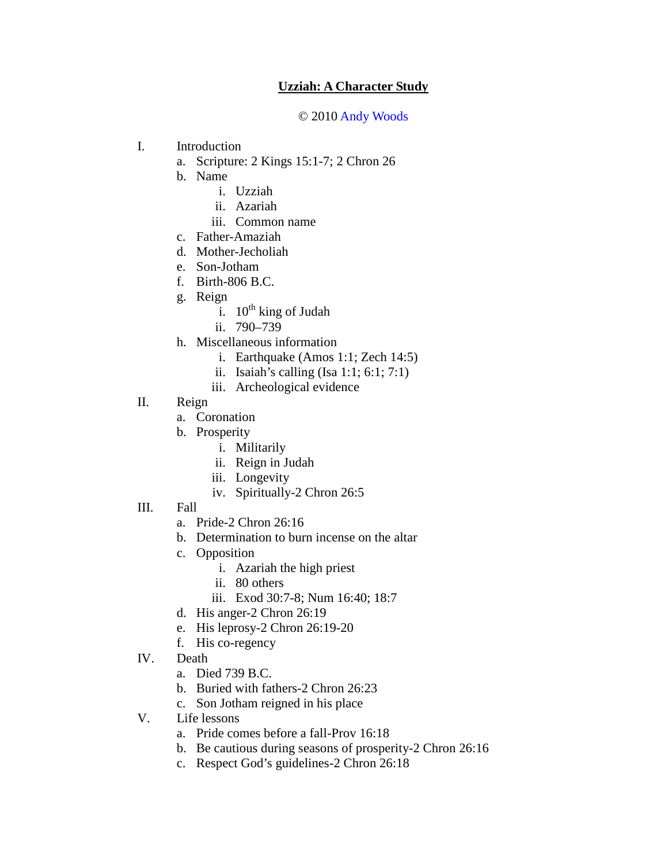## **Uzziah: A Character Study**

## © 2010 Andy Woods

- I. Introduction
	- a. Scripture: 2 Kings 15:1-7; 2 Chron 26
	- b. Name
		- i. Uzziah
		- ii. Azariah
		- iii. Common name
	- c. Father-Amaziah
	- d. Mother-Jecholiah
	- e. Son-Jotham
	- f. Birth-806 B.C.
	- g. Reign
		- i.  $10^{th}$  king of Judah
		- ii. 790–739
	- h. Miscellaneous information
		- i. Earthquake (Amos 1:1; Zech 14:5)
		- ii. Isaiah's calling (Isa 1:1; 6:1; 7:1)
		- iii. Archeological evidence
- II. Reign
	- a. Coronation
	- b. Prosperity
		- i. Militarily
		- ii. Reign in Judah
		- iii. Longevity
		- iv. Spiritually-2 Chron 26:5
- III. Fall
	- a. Pride-2 Chron 26:16
	- b. Determination to burn incense on the altar
	- c. Opposition
		- i. Azariah the high priest
		- ii. 80 others
		- iii. Exod 30:7-8; Num 16:40; 18:7
	- d. His anger-2 Chron 26:19
	- e. His leprosy-2 Chron 26:19-20
	- f. His co-regency
- IV. Death
	- a. Died 739 B.C.
	- b. Buried with fathers-2 Chron 26:23
	- c. Son Jotham reigned in his place
- V. Life lessons
	- a. Pride comes before a fall-Prov 16:18
	- b. Be cautious during seasons of prosperity-2 Chron 26:16
	- c. Respect God's guidelines-2 Chron 26:18